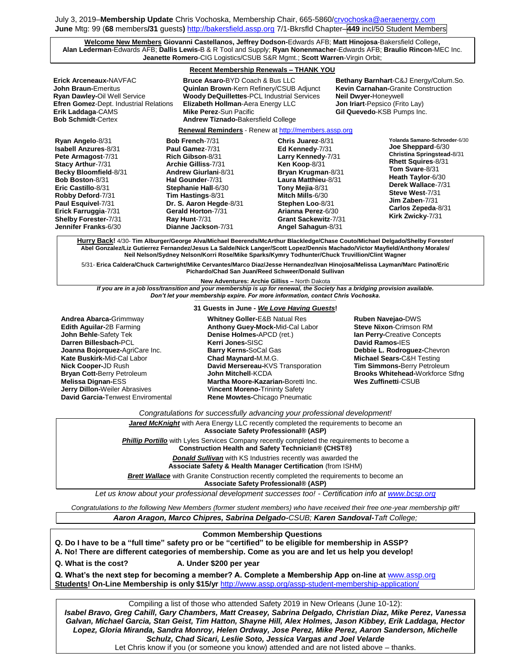July 3, 2019–**Membership Update** Chris Vochoska, Membership Chair, 665-5860[/crvochoska@aeraenergy.com](mailto:crvochoska@aeraenergy.com) **June** Mtg: 99 (**68** members**/31** guests**)** [http://bakersfield.assp.org](http://bakersfield.assp.org/) 7/1-Bkrsfld Chapter–**449** incl/50 Student Members

**Welcome New Members Giovanni Castellanos, Jeffrey Dodson-**Edwards AFB; **Matt Hinojosa**-Bakersfield College**, Alan Lederman**-Edwards AFB; **Dallis Lewis-**B & R Tool and Supply; **Ryan Nonenmacher**-Edwards AFB; **Braulio Rincon**-MEC Inc. **Jeanette Romero**-CIG Logistics/CSUB S&R Mgmt.; **Scott Warren**-Virgin Orbit;

## **Recent Membership Renewals – THANK YOU**

| Erick Arceneaux-NAVFAC<br><b>Bruce Asaro-BYD Coach &amp; Bus LLC</b><br>Quinlan Brown-Kern Refinery/CSUB Adjunct<br><b>John Braun-Emeritus</b><br>Ryan Dawley-Oil Well Service<br><b>Woody DeQuillettes-PCL Industrial Services</b><br><b>Efren Gomez-Dept. Industrial Relations</b><br>Elizabeth Hollman-Aera Energy LLC<br>Erik Laddaga-CAMS<br><b>Mike Perez-Sun Pacific</b><br><b>Bob Schmidt-Certex</b><br><b>Andrew Tiznado-Bakersfield College</b> |                                                                                                                                                                                                                                                                                                                                             |                                                                                                                                                                                                                                                         | Bethany Barnhart-C&J Energy/Colum.So.<br><b>Kevin Carnahan-</b> Granite Construction<br><b>Neil Dwyer-Honeywell</b><br>Jon Iriart-Pepsico (Frito Lay)<br>Gil Quevedo-KSB Pumps Inc.                                                                |  |
|-----------------------------------------------------------------------------------------------------------------------------------------------------------------------------------------------------------------------------------------------------------------------------------------------------------------------------------------------------------------------------------------------------------------------------------------------------------|---------------------------------------------------------------------------------------------------------------------------------------------------------------------------------------------------------------------------------------------------------------------------------------------------------------------------------------------|---------------------------------------------------------------------------------------------------------------------------------------------------------------------------------------------------------------------------------------------------------|----------------------------------------------------------------------------------------------------------------------------------------------------------------------------------------------------------------------------------------------------|--|
| Ryan Angelo-8/31<br><b>Isabell Anzures-8/31</b><br>Pete Armagost-7/31<br>Stacy Arthur-7/31<br>Becky Bloomfield-8/31<br><b>Bob Boston-8/31</b><br>Eric Castillo-8/31<br>Robby Deford-7/31<br>Paul Esquivel-7/31<br>Erick Farruggia-7/31<br>Shelby Forester-7/31<br>Jennifer Franks-6/30                                                                                                                                                                    | <b>Renewal Reminders</b> - Renew at http://members.assp.org<br><b>Bob French-7/31</b><br>Paul Gamez-7/31<br><b>Rich Gibson-8/31</b><br>Archie Gilliss-7/31<br>Andrew Giurlani-8/31<br>Hal Gounder-7/31<br>Stephanie Hall-6/30<br>Tim Hastings-8/31<br>Dr. S. Aaron Hegde-8/31<br>Gerald Horton-7/31<br>Ray Hunt-7/31<br>Dianne Jackson-7/31 | Chris Juarez-8/31<br>Ed Kennedy-7/31<br>Larry Kennedy-7/31<br>Ken Koop-8/31<br>Bryan Krugman-8/31<br>Laura Matthieu-8/31<br>Tony Mejia-8/31<br>Mitch Mills-6/30<br>Stephen Loo-8/31<br>Arianna Perez-6/30<br>Grant Sackewitz-7/31<br>Angel Sahagun-8/31 | Yolanda Samano-Schroeder-6/30<br>Joe Sheppard-6/30<br>Christina Springstead-8/31<br>Rhett Squires-8/31<br>Tom Svare-8/31<br>Heath Taylor-6/30<br>Derek Wallace-7/31<br>Steve West-7/31<br>Jim Zaben-7/31<br>Carlos Zepeda-8/31<br>Kirk Zwicky-7/31 |  |

**Hurry Back!** 4/30- **Tim Alburger/George Alva/Michael Beerends/McArthur Blackledge/Chase Couto/Michael Delgado/Shelby Forester/ Abel Gonzalez/Liz Gutierrez Fernandez/Jesus La Salde/Nick Langer/Scott Lopez/Dennis Machado/Victor Mayfield/Anthony Morales/ Neil Nelson/Sydney Nelson/Korri Rose/Mike Sparks/Kymry Todhunter/Chuck Truvillion/Clint Wagner** 

5/31- **Erica Caldera/Chuck Cartwright/Mike Cervantes/Marco Diaz/Jesse Hernandez/Ivan Hinojosa/Melissa Layman/Marc Patino/Eric Pichardo/Chad San Juan/Reed Schweer/Donald Sullivan**

**New Adventures: Archie Gilliss –** North Dakota

*If you are in a job loss/transition and your membership is up for renewal, the Society has a bridging provision available. Don't let your membership expire. For more information, contact Chris Vochoska.*  **-----------------------------------------------------------------------------------------------------------------------------------------------------------------------**

## **31 Guests in June -** *We Love Having Guests***!**

**Andrea Abarca-**Grimmway **Edith Aguilar-**2B Farming **John Behle**-Safety Tek **Darren Billesbach-**PCL **Joanna Bojorquez-**AgriCare Inc. **Kate Buskirk-**Mid-Cal Labor **Nick Cooper-**JD Rush **Bryan Cott-**Berry Petroleum **Melissa Dignan-**ESS **Jerry Dillon-**Weiler Abrasives **David Garcia-**Tenwest Enviromental **Whitney Goller-**E&B Natual Res **Anthony Guey-Mock-**Mid-Cal Labor **Denise Holmes-**APCD (ret.) **Kerri Jones-**SISC **Barry Kerns-**SoCal Gas **Chad Maynard-**M.M.G. **David Mersereau-**KVS Transporation **John Mitchell**-KCDA **Martha Moore-Kazarian-**Boretti Inc. **Vincent Moreno-**Trininty Safety **Rene Mowtes-**Chicago Pneumatic

**Ruben Navejao-**DWS **Steve Nixon**-Crimson RM **Ian Perry-**Creative Concepts **David Ramos-**IES **Debbie L. Rodroguez-**Chevron **Michael Sears-**C&H Testing **Tim Simmons-**Berry Petroleum **Brooks Whitehead-**Workforce Stfng **Wes Zuffinetti**-CSUB

*Congratulations for successfully advancing your professional development!*

Jared McKnight with Aera Energy LLC recently completed the requirements to become an

**Associate Safety Professional® (ASP)** 

**Phillip Portillo** with Lyles Services Company recently completed the requirements to become a **Construction Health and Safety Technician® (CHST®)**

*Donald Sullivan* with KS Industries recently was awarded the

**Associate Safety & Health Manager Certification** (from ISHM)

**Brett Wallace** with Granite Construction recently completed the requirements to become an **Associate Safety Professional® (ASP)** 

*Let us know about your professional development successes too! - Certification info a[t www.bcsp.org](http://www.bcsp.org/)*

*Congratulations to the following New Members (former student members) who have received their free one-year membership gift! Aaron Aragon, Marco Chipres, Sabrina Delgado-CSUB; Karen Sandoval-Taft College;* 

**Common Membership Questions**

**Q. Do I have to be a "full time" safety pro or be "certified" to be eligible for membership in ASSP?** 

**A. No! There are different categories of membership. Come as you are and let us help you develop!**

**Q. What is the cost? A. Under \$200 per year**

**Q. What's the next step for becoming a member? A. Complete a Membership App on-line at** [www.assp.org](http://www.assp.org/) **Students! On-Line Membership is only \$15/yr** <http://www.assp.org/assp-student-membership-application/>

Compiling a list of those who attended Safety 2019 in New Orleans (June 10-12): *Isabel Bravo, Greg Cahill, Gary Chambers, Matt Creasey, Sabrina Delgado, Christian Diaz, Mike Perez, Vanessa Galvan, Michael Garcia, Stan Geist, Tim Hatton, Shayne Hill, Alex Holmes, Jason Kibbey, Erik Laddaga, Hector Lopez, Gloria Miranda, Sandra Monroy, Helen Ordway, Jose Perez, Mike Perez, Aaron Sanderson, Michelle Schulz, Chad Sicari, Leslie Soto, Jessica Vargas and Joel Velarde*

Let Chris know if you (or someone you know) attended and are not listed above – thanks.